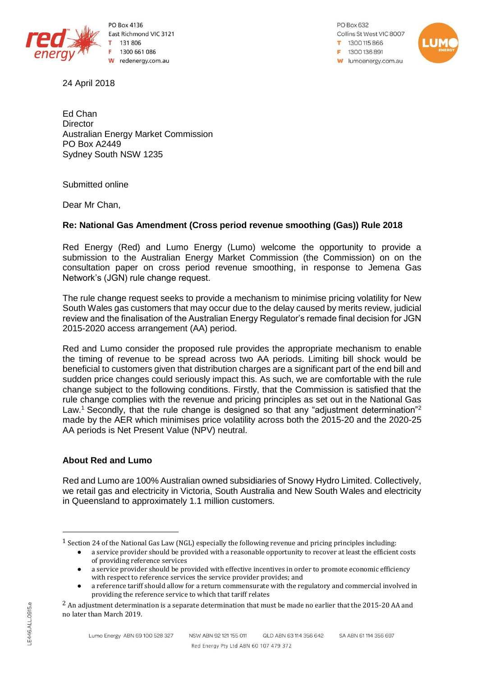

PO Box 4136 East Richmond VIC 3121 131 806 1300 661 086 redenergy.com.au W

24 April 2018

PO Box 632 Collins St West VIC 8007 1300115866 F 1300136891 **w** lumoenergy.com.au



Ed Chan **Director** Australian Energy Market Commission PO Box A2449 Sydney South NSW 1235

Submitted online

Dear Mr Chan,

## **Re: National Gas Amendment (Cross period revenue smoothing (Gas)) Rule 2018**

Red Energy (Red) and Lumo Energy (Lumo) welcome the opportunity to provide a submission to the Australian Energy Market Commission (the Commission) on on the consultation paper on cross period revenue smoothing, in response to Jemena Gas Network's (JGN) rule change request.

The rule change request seeks to provide a mechanism to minimise pricing volatility for New South Wales gas customers that may occur due to the delay caused by merits review, judicial review and the finalisation of the Australian Energy Regulator's remade final decision for JGN 2015-2020 access arrangement (AA) period.

Red and Lumo consider the proposed rule provides the appropriate mechanism to enable the timing of revenue to be spread across two AA periods. Limiting bill shock would be beneficial to customers given that distribution charges are a significant part of the end bill and sudden price changes could seriously impact this. As such, we are comfortable with the rule change subject to the following conditions. Firstly, that the Commission is satisfied that the rule change complies with the revenue and pricing principles as set out in the National Gas Law.<sup>1</sup> Secondly, that the rule change is designed so that any "adjustment determination"<sup>2</sup> made by the AER which minimises price volatility across both the 2015-20 and the 2020-25 AA periods is Net Present Value (NPV) neutral.

## **About Red and Lumo**

Red and Lumo are 100% Australian owned subsidiaries of Snowy Hydro Limited. Collectively, we retail gas and electricity in Victoria, South Australia and New South Wales and electricity in Queensland to approximately 1.1 million customers.

 $\overline{\phantom{a}}$ 

<sup>1</sup> Section 24 of the National Gas Law (NGL) especially the following revenue and pricing principles including:

a service provider should be provided with a reasonable opportunity to recover at least the efficient costs of providing reference services

a service provider should be provided with effective incentives in order to promote economic efficiency with respect to reference services the service provider provides; and

a reference tariff should allow for a return commensurate with the regulatory and commercial involved in providing the reference service to which that tariff relates

<sup>&</sup>lt;sup>2</sup> An adjustment determination is a separate determination that must be made no earlier that the 2015-20 AA and no later than March 2019.